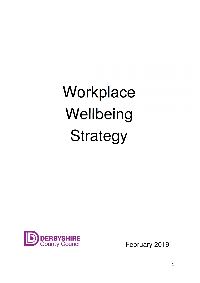# Workplace **Wellbeing** Strategy

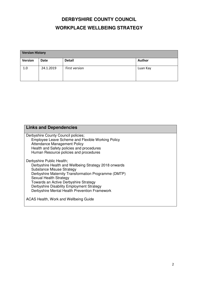# **DERBYSHIRE COUNTY COUNCIL WORKPLACE WELLBEING STRATEGY**

| <b>Version History</b> |           |               |          |  |  |
|------------------------|-----------|---------------|----------|--|--|
| <b>Version</b>         | Date      | <b>Detail</b> | Author   |  |  |
| 1.0                    | 24.1.2019 | First version | Luan Kay |  |  |

| <b>Links and Dependencies</b>                                                            |  |  |  |  |
|------------------------------------------------------------------------------------------|--|--|--|--|
|                                                                                          |  |  |  |  |
| Derbyshire County Council policies;<br>Employee Leave Scheme and Flexible Working Policy |  |  |  |  |
| <b>Attendance Management Policy</b>                                                      |  |  |  |  |
| Health and Safety policies and procedures                                                |  |  |  |  |
| Human Resource policies and procedures                                                   |  |  |  |  |
|                                                                                          |  |  |  |  |
| Derbyshire Public Health;                                                                |  |  |  |  |
| Derbyshire Health and Wellbeing Strategy 2018 onwards                                    |  |  |  |  |
| <b>Substance Misuse Strategy</b>                                                         |  |  |  |  |
| Derbyshire Maternity Transformation Programme (DMTP)                                     |  |  |  |  |
| Sexual Health Strategy                                                                   |  |  |  |  |
| Towards an Active Derbyshire Strategy                                                    |  |  |  |  |
| Derbyshire Disability Employment Strategy                                                |  |  |  |  |
| Derbyshire Mental Health Prevention Framework                                            |  |  |  |  |
|                                                                                          |  |  |  |  |
| ACAS Health, Work and Wellbeing Guide                                                    |  |  |  |  |
|                                                                                          |  |  |  |  |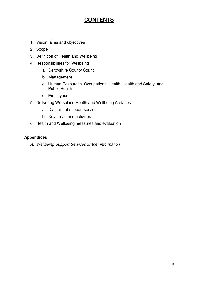## **CONTENTS**

- 1. Vision, aims and objectives
- 2. Scope
- 3. Definition of Health and Wellbeing
- 4. Responsibilities for Wellbeing
	- a. Derbyshire County Council
	- b. Management
	- c. Human Resources, Occupational Health, Health and Safety, and Public Health
	- d. Employees
- 5. Delivering Workplace Health and Wellbeing Activities
	- a. Diagram of support services
	- b. Key areas and activities
- 6. Health and Wellbeing measures and evaluation

#### **Appendices**

A. Wellbeing Support Services further information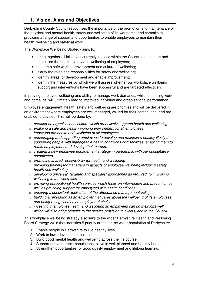### **1. Vision, Aims and Objectives**

Derbyshire County Council recognises the importance of the promotion and maintenance of the physical and mental health, safety and wellbeing of its workforce, and commits to providing a range of support and opportunities to enable employees to maintain their health, wellbeing and safety at work.

The Workplace Wellbeing Strategy aims to;

- bring together all initiatives currently in place within the Council that support and maximise the health, safety and wellbeing of employees;
- ensure a safe working environment and culture of wellbeing;
- clarify the roles and responsibilities for safety and wellbeing;
- identify areas for development and enable improvement;
- identify the measures by which we will assess whether our workplace wellbeing support and interventions have been successful and are targeted effectively.

Improving employee wellbeing and ability to manage work demands, whilst balancing work and home life, will ultimately lead to improved individual and organisational performance.

Employee engagement, health, safety and wellbeing are priorities and will be delivered in an environment where employees are well managed, valued for their contribution, and are enabled to develop. This will be done by:

- o creating an organisational culture which proactively supports health and wellbeing
- $\circ$  enabling a safe and healthy working environment for all employees
- $\circ$  improving the health and wellbeing of all employees
- $\circ$  encouraging and supporting employees to develop and maintain a healthy lifestyle
- o supporting people with manageable health conditions or disabilities, enabling them to retain employment and develop their careers
- $\circ$  creating a new employee engagement strategy in partnership with our consultative committees
- $\circ$  promoting shared responsibility for health and wellbeing
- o providing training for managers in aspects of employee wellbeing including safety, health and wellbeing
- o developing universal, targeted and specialist approaches as required, to improving wellbeing in the workplace
- o providing occupational health services which focus on intervention and prevention as well as providing support for employees with health conditions
- o ensuring a consistent application of the attendance management policy
- $\circ$  building a reputation as an employer that cares about the wellbeing of its employees, and being recognised as an employer of choice
- $\circ$  investing in employee health and wellbeing so employees can do their jobs well, which will also bring benefits to the service provision to clients, and to the Council

This workplace wellbeing strategy also links to the wider Derbyshire Health and Wellbeing Board Strategy 2018 that identifies 5 priority areas for the wider population of Derbyshire:

- 1. Enable people in Derbyshire to live healthy lives
- 2. Work to lower levels of air pollution
- 3. Build good mental health and wellbeing across the life course
- 4. Support our vulnerable populations to live in well-planned and healthy homes
- 5. Strengthen opportunities for good quality employment and lifelong learning.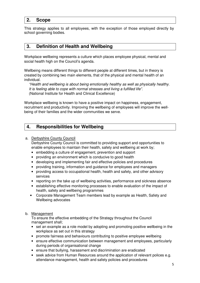#### **2. Scope**

This strategy applies to all employees, with the exception of those employed directly by school governing bodies.

#### **3. Definition of Health and Wellbeing**

Workplace wellbeing represents a culture which places employee physical, mental and social health high on the Council's agenda.

Wellbeing means different things to different people at different times, but in theory is created by combining two main elements, that of the physical and mental health of an individual.

"Health and wellbeing is about being emotionally healthy as well as physically healthy. It is feeling able to cope with normal stresses and living a fulfilled life". (National Institute for Health and Clinical Excellence)

Workplace wellbeing is known to have a positive impact on happiness, engagement, recruitment and productivity. Improving the wellbeing of employees will improve the wellbeing of their families and the wider communities we serve.

#### **4. Responsibilities for Wellbeing**

#### a. Derbyshire County Council

Derbyshire County Council is committed to providing support and opportunities to enable employees to maintain their health, safety and wellbeing at work by;

- embedding a culture of engagement, prevention and support
- providing an environment which is conducive to good health
- developing and implementing fair and effective policies and procedures
- providing training, information and guidance for employees and managers
- providing access to occupational health, health and safety, and other advisory services
- reporting on the take up of wellbeing activities, performance and sickness absence
- establishing effective monitoring processes to enable evaluation of the impact of health, safety and wellbeing programmes
- Corporate Management Team members lead by example as Health, Safety and Wellbeing advocates

#### b. Management

 To ensure the effective embedding of the Strategy throughout the Council management shall;

- set an example as a role model by adopting and promoting positive wellbeing in the workplace as set out in this strategy
- promote fairness and behaviours contributing to positive employee wellbeing
- ensure effective communication between management and employees, particularly during periods of organisational change
- ensure that bullying, harassment and discrimination are eradicated
- seek advice from Human Resources around the application of relevant polices e.g. attendance management, health and safety policies and procedures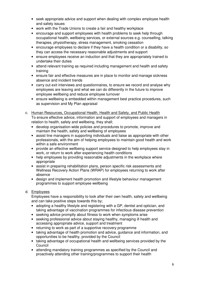- seek appropriate advice and support when dealing with complex employee health and safety issues
- work with the Trade Unions to create a fair and healthy workplace
- encourage and support employees with health problems to seek help through occupational health, wellbeing services, or external sources e.g. counselling, talking therapies, physiotherapy, stress management, smoking cessation
- encourage employees to declare if they have a health condition or a disability, so they can access the necessary reasonable adjustments and support
- ensure employees receive an induction and that they are appropriately trained to undertake their duties
- attend relevant training as required including management and health and safety training
- ensure fair and effective measures are in place to monitor and manage sickness absence and incident trends
- carry out exit interviews and questionnaires, to ensure we record and analyse why employees are leaving and what we can do differently in the future to improve employee wellbeing and reduce employee turnover
- ensure wellbeing is embedded within management best practice procedures, such as supervision and My Plan appraisal
- c. Human Resources, Occupational Health, Health and Safety, and Public Health To ensure effective advice, information and support of employees and managers in relation to health, safety and wellbeing, they shall;
	- develop organisation-wide policies and procedures to promote, improve and maintain the health, safety and wellbeing of employees
	- assist line managers in supporting individuals and liaise as appropriate with other professionals, with the aim of helping employees to maintain good health and work within a safe environment
	- provide an effective wellbeing support service designed to help employees stay in work, or return to work after experiencing health conditions
	- help employees by providing reasonable adjustments in the workplace where appropriate
	- assist in preparing rehabilitation plans, person specific risk assessments and Wellness Recovery Action Plans (WRAP) for employees returning to work after absence
	- design and implement health promotion and lifestyle behaviour management programmes to support employee wellbeing

#### d. Employees

Employees have a responsibility to look after their own health, safety and wellbeing and can take positive steps towards this by;

- adopting a healthy lifestyle and registering with a GP, dentist and optician, and taking advantage of vaccination programmes for infectious disease prevention
- seeking advice promptly about fitness to work when symptoms arise
- seeking professional advice about staying healthy, managing ill health and accessing appropriate advice, support and treatment
- returning to work as part of a supportive recovery programme
- taking advantage of health promotion and advice, guidance and information, and opportunities to be healthy, provided by the Council
- taking advantage of occupational health and wellbeing services provided by the Council
- attending mandatory training programmes as specified by the Council and proactively attending other training/programmes to support their health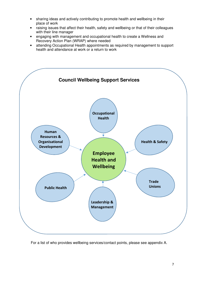- sharing ideas and actively contributing to promote health and wellbeing in their place of work
- raising issues that affect their health, safety and wellbeing or that of their colleagues with their line manager
- engaging with management and occupational health to create a Wellness and Recovery Action Plan (WRAP) where needed
- attending Occupational Health appointments as required by management to support health and attendance at work or a return to work



For a list of who provides wellbeing services/contact points, please see appendix A.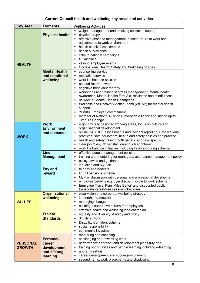## **Current Council health and wellbeing key areas and activities**

| <b>Key Area</b> | <b>Elements</b>        | <b>Wellbeing Activities</b>                                                                                                                 |  |
|-----------------|------------------------|---------------------------------------------------------------------------------------------------------------------------------------------|--|
|                 |                        | weight management and smoking cessation support<br>$\bullet$                                                                                |  |
|                 | <b>Physical health</b> | physiotherapy<br>$\bullet$                                                                                                                  |  |
|                 |                        | effective absence management, phased return to work and<br>$\bullet$                                                                        |  |
|                 |                        | adjustments to work environment                                                                                                             |  |
|                 |                        | health checks/assessments                                                                                                                   |  |
|                 |                        | health surveillance<br>$\bullet$                                                                                                            |  |
|                 |                        | links to national campaigns<br>$\bullet$                                                                                                    |  |
|                 |                        | flu vaccines<br>$\bullet$                                                                                                                   |  |
| <b>HEALTH</b>   |                        | valuing employee events<br>$\bullet$                                                                                                        |  |
|                 |                        | Occupational Health, Safety and Wellbeing policies<br>$\bullet$                                                                             |  |
|                 | <b>Mental Health</b>   | counselling service<br>$\bullet$                                                                                                            |  |
|                 | and emotional          | mediation service<br>$\bullet$                                                                                                              |  |
|                 | wellbeing              | work life balance policies<br>$\bullet$                                                                                                     |  |
|                 |                        | phased return to work<br>$\bullet$                                                                                                          |  |
|                 |                        | cognitive behaviour therapy<br>$\bullet$<br>workshops and training in stress management, mental health<br>$\bullet$                         |  |
|                 |                        | awareness, Mental Health First Aid, resilience and mindfulness                                                                              |  |
|                 |                        | network of Mental Health Champions<br>$\bullet$                                                                                             |  |
|                 |                        | Wellness and Recovery Action Plans (WRAP) for mental health<br>$\bullet$                                                                    |  |
|                 |                        | support                                                                                                                                     |  |
|                 |                        | 'Mindful Employer' commitment<br>$\bullet$                                                                                                  |  |
|                 |                        | member of National Suicide Prevention Alliance and signed up to<br>$\bullet$                                                                |  |
|                 |                        | Time To Change                                                                                                                              |  |
|                 | <b>Work</b>            | ergonomically designed working areas, focus on culture and<br>$\bullet$                                                                     |  |
|                 | <b>Environment</b>     | organisational development                                                                                                                  |  |
|                 | and demands            | online H&S DSE assessments and incident reporting. Safe working<br>$\bullet$                                                                |  |
| <b>WORK</b>     |                        | practices, safe equipment, health and safety policies and practice                                                                          |  |
|                 |                        | health and safety training both generic and task specific<br>$\bullet$<br>clear job roles, job satisfaction and job enrichment<br>$\bullet$ |  |
|                 |                        | work life balance initiatives including flexible working scheme<br>$\bullet$                                                                |  |
|                 | Line                   | effective people management policies<br>$\bullet$                                                                                           |  |
|                 | <b>Management</b>      | training and mentoring for managers, attendance management policy<br>$\bullet$                                                              |  |
|                 |                        | policy advice and guidance<br>$\bullet$                                                                                                     |  |
|                 |                        | induction and MyPlan<br>$\bullet$                                                                                                           |  |
|                 | Pay and                | fair pay and benefits<br>$\bullet$                                                                                                          |  |
|                 | reward                 | LGPS pensions scheme<br>$\bullet$                                                                                                           |  |
|                 |                        | MyPlan discussion with personal and professional development<br>$\bullet$                                                                   |  |
|                 |                        | employee benefits e.g. gym discount, cycle to work scheme<br>$\bullet$                                                                      |  |
|                 |                        | Employee Travel Plan 'Miles Better' and discounted public<br>$\bullet$                                                                      |  |
|                 |                        | transport/interest-free season ticket loans                                                                                                 |  |
|                 | <b>Organisational</b>  | clear vision and corporate wellbeing strategy<br>$\bullet$                                                                                  |  |
|                 | wellbeing              | leadership framework<br>$\bullet$                                                                                                           |  |
| <b>VALUES</b>   |                        | managing change<br>$\bullet$<br>building a supportive culture for employees<br>$\bullet$                                                    |  |
|                 |                        | effective health and wellbeing lead/champion<br>٠                                                                                           |  |
|                 | <b>Ethical</b>         | equality and diversity strategy and policy<br>$\bullet$                                                                                     |  |
|                 | <b>Standards</b>       | dignity at work<br>$\bullet$                                                                                                                |  |
|                 |                        | <b>Disability Confident scheme</b><br>$\bullet$                                                                                             |  |
|                 |                        | social responsibility<br>$\bullet$                                                                                                          |  |
|                 |                        | community investment<br>٠                                                                                                                   |  |
|                 |                        | mentoring and coaching<br>$\bullet$                                                                                                         |  |
|                 | Personal/              | challenging and rewarding work<br>$\bullet$                                                                                                 |  |
| <b>PERSONAL</b> | career                 | performance appraisal and development plans (MyPlan)<br>$\bullet$                                                                           |  |
| <b>GROWTH</b>   | development            | training opportunities and flexible learning including e-learning<br>$\bullet$                                                              |  |
|                 | and lifelong           | apprenticeships<br>$\bullet$                                                                                                                |  |
|                 | learning               | career development and succession planning<br>٠                                                                                             |  |
|                 |                        | secondments, work placements and shadowing<br>٠                                                                                             |  |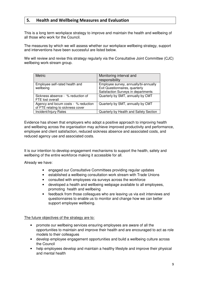#### 5. Health and Wellbeing Measures and Evaluation

This is a long term workplace strategy to improve and maintain the health and wellbeing of all those who work for the Council.

The measures by which we will assess whether our workplace wellbeing strategy, support and interventions have been successful are listed below.

We will review and revise this strategy regularly via the Consultative Joint Committee (CJC) wellbeing work-stream group.

| <b>Metric</b>                        | Monitoring interval and                |
|--------------------------------------|----------------------------------------|
|                                      | responsibility                         |
| Employee self-rated health and       | Employee survey, annually/bi-annually  |
| wellbeing                            | Exit Questionnaires, quarterly         |
|                                      | Satisfaction Surveys in departments    |
| Sickness absence - % reduction of    | Quarterly by SMT, annually by CMT      |
| FTE lost overall                     |                                        |
| Agency and locum costs - % reduction | Quarterly by SMT, annually by CMT      |
| of FTE relating to sickness cover    |                                        |
| Incident/Injury Rates                | Quarterly by Health and Safety Section |

Evidence has shown that employers who adopt a positive approach to improving health and wellbeing across the organisation may achieve improved productivity and performance, employee and client satisfaction, reduced sickness absence and associated costs, and reduced agency use and associated costs.

It is our intention to develop engagement mechanisms to support the health, safety and wellbeing of the entire workforce making it accessible for all.

Already we have:

- engaged our Consultative Committees providing regular updates
- established a wellbeing consultation work stream with Trade Unions
- consulted with employees via surveys across the workforce
- developed a health and wellbeing webpage available to all employees, promoting health and wellbeing
- feedback from those colleagues who are leaving us via exit interviews and questionnaires to enable us to monitor and change how we can better support employee wellbeing.

The future objectives of the strategy are to:

- promote our wellbeing services ensuring employees are aware of all the opportunities to maintain and improve their health and are encouraged to act as role models to their colleagues
- develop employee engagement opportunities and build a wellbeing culture across the Council
- help employees develop and maintain a healthy lifestyle and improve their physical and mental health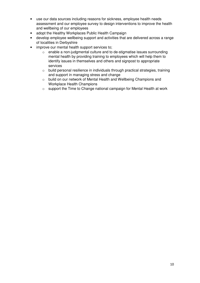- use our data sources including reasons for sickness, employee health needs assessment and our employee survey to design interventions to improve the health and wellbeing of our employees
- adopt the Healthy Workplaces Public Health Campaign
- develop employee wellbeing support and activities that are delivered across a range of localities in Derbyshire
- improve our mental health support services to;
	- o enable a non-judgmental culture and to de-stigmatise issues surrounding mental health by providing training to employees which will help them to identify issues in themselves and others and signpost to appropriate services
	- o build personal resilience in individuals through practical strategies, training and support in managing stress and change
	- o build on our network of Mental Health and Wellbeing Champions and Workplace Health Champions
	- o support the Time to Change national campaign for Mental Health at work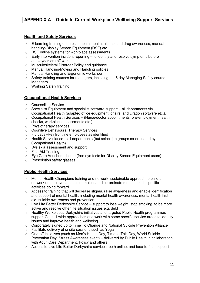#### **APPENDIX A - Guide to Current Workplace Wellbeing Support Services**

#### **Health and Safety Services**

- $\circ$  E-learning training on stress, mental health, alcohol and drug awareness, manual handling/Display Screen Equipment (DSE) etc.
- o DSE online systems for workplace assessments
- $\circ$  Early intervention incident reporting to identify and resolve symptoms before employees are off work.
- o Musculoskeletal Disorder Policy and guidance
- o Manual Handling/Moving and Handling policies
- o Manual Handling and Ergonomic workshop
- $\circ$  Safety training courses for managers, including the 5 day Managing Safely course Managers.
- o Working Safely training

#### **Occupational Health Services**

- o Counselling Service
- $\circ$  Specialist Equipment and specialist software support all departments via Occupational Health (adapted office equipment, chairs, and Dragon software etc.).
- $\circ$  Occupational Health Services (Nurse/doctor appointments, pre-employment health checks, workplace assessments etc.)
- o Physiotherapy services
- o Cognitive Behavioural Therapy Services
- o Flu Jabs –key frontline employees as identified
- $\circ$  Health Surveillance all departments (but select job groups co-ordinated by Occupational Health)
- o Dyslexia assessment and support
- o First Aid Training
- $\circ$  Eye Care Voucher scheme (free eye tests for Display Screen Equipment users)
- o Prescription safety glasses

#### **Public Health Services**

- $\circ$  Mental Health Champions training and network; sustainable approach to build a network of employees to be champions and co-ordinate mental health specific activities going forward.
- $\circ$  Access to training that will decrease stigma, raise awareness and enable identification and support of mental health, including mental health awareness, mental health first aid, suicide awareness and prevention.
- $\circ$  Live Life Better Derbyshire Service support to lose weight, stop smoking, to be more active and resolve other life situation issues e.g. debt
- $\circ$  Healthy Workplaces Derbyshire initiatives and targeted Public Health programmes support Council-wide approaches and work with some specific service areas to identify issues and improve health and wellbeing.
- $\circ$  Corporately signed up to Time To Change and National Suicide Prevention Alliance
- o Facilitate delivery of onsite sessions such as Yoga
- o One-off initiatives (such as Men's Health Day, Time to Talk Day, World Suicide Prevention Day, Stress Awareness event) – delivered by Public Health in collaboration with Adult Care Department, Policy and others
- o Access to Live Life Better Derbyshire services, both online, and face-to-face support